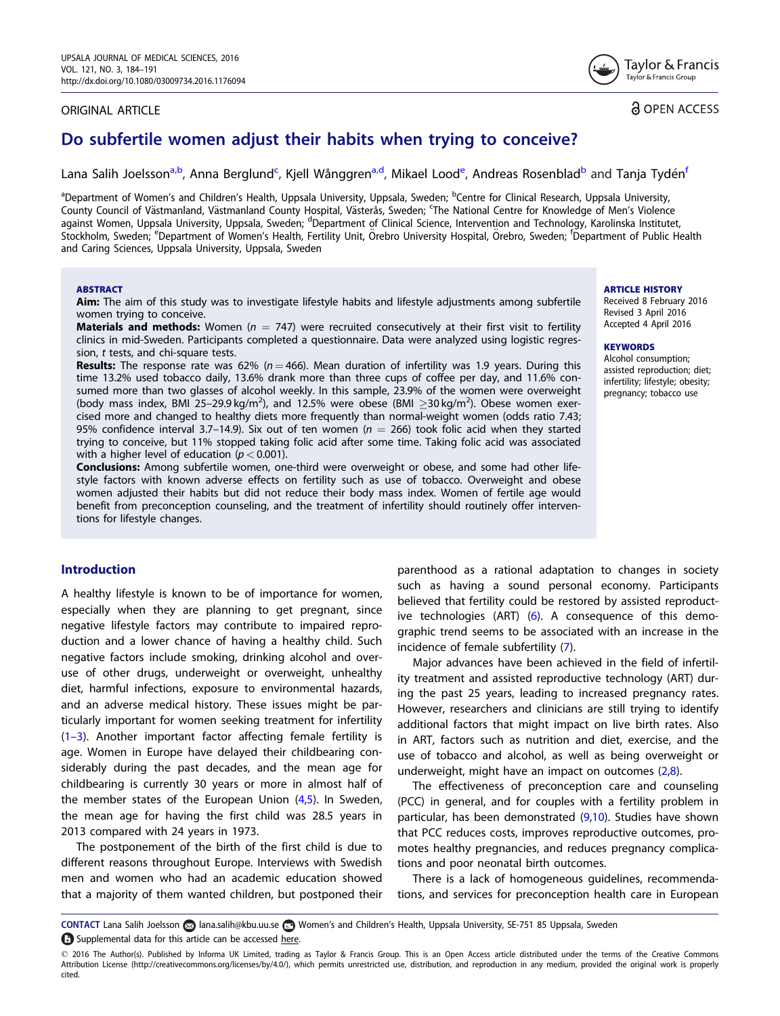# ORIGINAL ARTICLE

Tavlor & Francis Taylor & Francis Group

**a** OPEN ACCESS

# Do subfertile women adjust their habits when trying to conceive?

Lana Salih Joelsson<sup>a,b</sup>, Anna Berglund<sup>c</sup>, Kjell Wånggren<sup>a,d</sup>, Mikael Lood<sup>e</sup>, Andreas Rosenblad<sup>b</sup> and Tanja Tydén<sup>t</sup>

<sup>a</sup>Department of Women's and Children's Health, Uppsala University, Uppsala, Sweden; <sup>b</sup>Centre for Clinical Research, Uppsala University, County Council of Västmanland, Västmanland County Hospital, Västerås, Sweden; <sup>c</sup>The National Centre for Knowledge of Men's Violence against Women, Uppsala University, Uppsala, Sweden; <sup>d</sup>Department of Clinical Science, Intervention and Technology, Karolinska Institutet, Stockholm, Sweden; <sup>e</sup>Department of Women's Health, Fertility Unit, Örebro University Hospital, Örebro, Sweden; <sup>f</sup>Department of Public Health and Caring Sciences, Uppsala University, Uppsala, Sweden

### ABSTRACT

Aim: The aim of this study was to investigate lifestyle habits and lifestyle adjustments among subfertile women trying to conceive.

**Materials and methods:** Women ( $n = 747$ ) were recruited consecutively at their first visit to fertility clinics in mid-Sweden. Participants completed a questionnaire. Data were analyzed using logistic regression, t tests, and chi-square tests.

**Results:** The response rate was 62% ( $n = 466$ ). Mean duration of infertility was 1.9 years. During this time 13.2% used tobacco daily, 13.6% drank more than three cups of coffee per day, and 11.6% consumed more than two glasses of alcohol weekly. In this sample, 23.9% of the women were overweight (body mass index, BMI 25-29.9 kg/m<sup>2</sup>), and 12.5% were obese (BMI  $\geq$ 30 kg/m<sup>2</sup>). Obese women exercised more and changed to healthy diets more frequently than normal-weight women (odds ratio 7.43; 95% confidence interval 3.7–14.9). Six out of ten women ( $n = 266$ ) took folic acid when they started trying to conceive, but 11% stopped taking folic acid after some time. Taking folic acid was associated with a higher level of education  $(p < 0.001)$ .

Conclusions: Among subfertile women, one-third were overweight or obese, and some had other lifestyle factors with known adverse effects on fertility such as use of tobacco. Overweight and obese women adjusted their habits but did not reduce their body mass index. Women of fertile age would benefit from preconception counseling, and the treatment of infertility should routinely offer interventions for lifestyle changes.

# Introduction

A healthy lifestyle is known to be of importance for women, especially when they are planning to get pregnant, since negative lifestyle factors may contribute to impaired reproduction and a lower chance of having a healthy child. Such negative factors include smoking, drinking alcohol and overuse of other drugs, underweight or overweight, unhealthy diet, harmful infections, exposure to environmental hazards, and an adverse medical history. These issues might be particularly important for women seeking treatment for infertility [\(1–3\)](#page-6-0). Another important factor affecting female fertility is age. Women in Europe have delayed their childbearing considerably during the past decades, and the mean age for childbearing is currently 30 years or more in almost half of the member states of the European Union  $(4,5)$ . In Sweden, the mean age for having the first child was 28.5 years in 2013 compared with 24 years in 1973.

The postponement of the birth of the first child is due to different reasons throughout Europe. Interviews with Swedish men and women who had an academic education showed that a majority of them wanted children, but postponed their parenthood as a rational adaptation to changes in society such as having a sound personal economy. Participants believed that fertility could be restored by assisted reproductive technologies (ART) ([6\)](#page-6-0). A consequence of this demographic trend seems to be associated with an increase in the incidence of female subfertility ([7](#page-6-0)).

Major advances have been achieved in the field of infertility treatment and assisted reproductive technology (ART) during the past 25 years, leading to increased pregnancy rates. However, researchers and clinicians are still trying to identify additional factors that might impact on live birth rates. Also in ART, factors such as nutrition and diet, exercise, and the use of tobacco and alcohol, as well as being overweight or underweight, might have an impact on outcomes ([2,8](#page-6-0)).

The effectiveness of preconception care and counseling (PCC) in general, and for couples with a fertility problem in particular, has been demonstrated [\(9,10](#page-6-0)). Studies have shown that PCC reduces costs, improves reproductive outcomes, promotes healthy pregnancies, and reduces pregnancy complications and poor neonatal birth outcomes.

There is a lack of homogeneous guidelines, recommendations, and services for preconception health care in European

CONTACT Lana Salih Joelsson a lana.salih@kbu.uu.se @ Women's and Children's Health, Uppsala University, SE-751 85 Uppsala, Sweden Supplemental data for this article can be accessed [here](http://www.tandfonline.com/doi/full/10.1185/03007995.2016.1176094).

#### **ARTICLE HISTORY**

Received 8 February 2016 Revised 3 April 2016 Accepted 4 April 2016

#### **KEYWORDS**

Alcohol consumption; assisted reproduction; diet; infertility; lifestyle; obesity; pregnancy; tobacco use

 $\odot$  2016 The Author(s). Published by Informa UK Limited, trading as Taylor & Francis Group. This is an Open Access article distributed under the terms of the Creative Commons Attribution License ([http://creativecommons.org/licenses/by/4.0/\)](http://creativecommons.org/licenses/by/4.0/), which permits unrestricted use, distribution, and reproduction in any medium, provided the original work is properly cited.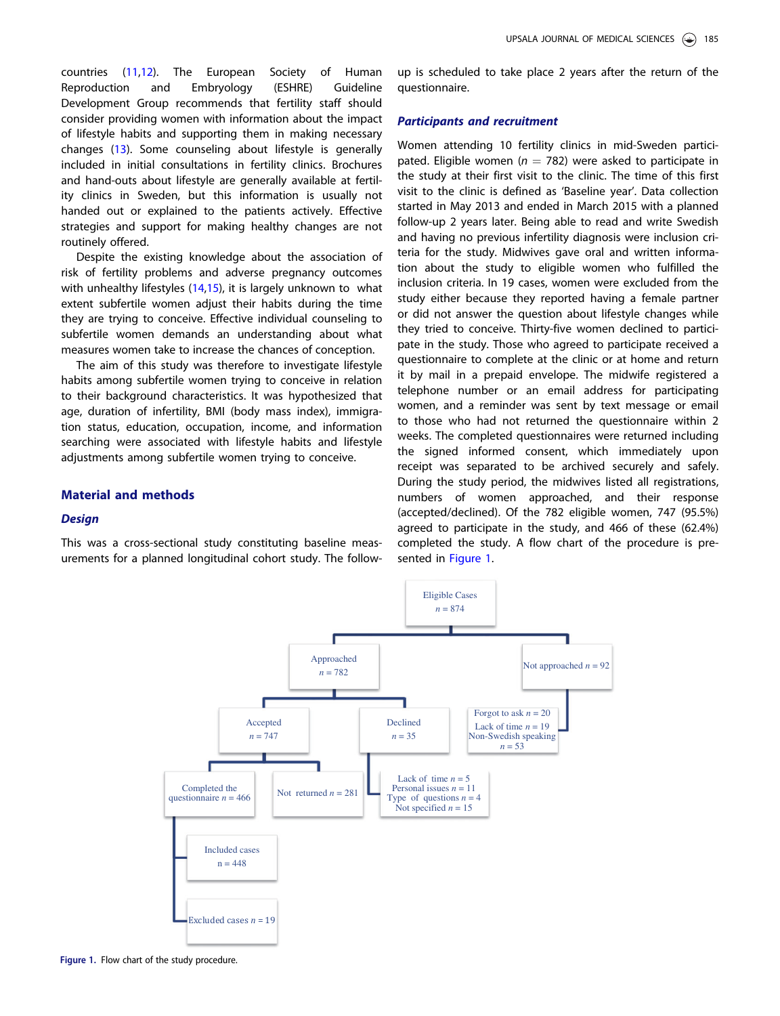countries [\(11](#page-6-0),[12\)](#page-6-0). The European Society of Human Reproduction and Embryology (ESHRE) Guideline Development Group recommends that fertility staff should consider providing women with information about the impact of lifestyle habits and supporting them in making necessary changes [\(13\)](#page-6-0). Some counseling about lifestyle is generally included in initial consultations in fertility clinics. Brochures and hand-outs about lifestyle are generally available at fertility clinics in Sweden, but this information is usually not handed out or explained to the patients actively. Effective strategies and support for making healthy changes are not routinely offered.

Despite the existing knowledge about the association of risk of fertility problems and adverse pregnancy outcomes with unhealthy lifestyles [\(14,15](#page-6-0)), it is largely unknown to what extent subfertile women adjust their habits during the time they are trying to conceive. Effective individual counseling to subfertile women demands an understanding about what measures women take to increase the chances of conception.

The aim of this study was therefore to investigate lifestyle habits among subfertile women trying to conceive in relation to their background characteristics. It was hypothesized that age, duration of infertility, BMI (body mass index), immigration status, education, occupation, income, and information searching were associated with lifestyle habits and lifestyle adjustments among subfertile women trying to conceive.

## Material and methods

#### **Design**

This was a cross-sectional study constituting baseline measurements for a planned longitudinal cohort study. The followup is scheduled to take place 2 years after the return of the questionnaire.

## Participants and recruitment

Women attending 10 fertility clinics in mid-Sweden participated. Eligible women ( $n = 782$ ) were asked to participate in the study at their first visit to the clinic. The time of this first visit to the clinic is defined as 'Baseline year'. Data collection started in May 2013 and ended in March 2015 with a planned follow-up 2 years later. Being able to read and write Swedish and having no previous infertility diagnosis were inclusion criteria for the study. Midwives gave oral and written information about the study to eligible women who fulfilled the inclusion criteria. In 19 cases, women were excluded from the study either because they reported having a female partner or did not answer the question about lifestyle changes while they tried to conceive. Thirty-five women declined to participate in the study. Those who agreed to participate received a questionnaire to complete at the clinic or at home and return it by mail in a prepaid envelope. The midwife registered a telephone number or an email address for participating women, and a reminder was sent by text message or email to those who had not returned the questionnaire within 2 weeks. The completed questionnaires were returned including the signed informed consent, which immediately upon receipt was separated to be archived securely and safely. During the study period, the midwives listed all registrations, numbers of women approached, and their response (accepted/declined). Of the 782 eligible women, 747 (95.5%) agreed to participate in the study, and 466 of these (62.4%) completed the study. A flow chart of the procedure is presented in Figure 1.



Figure 1. Flow chart of the study procedure.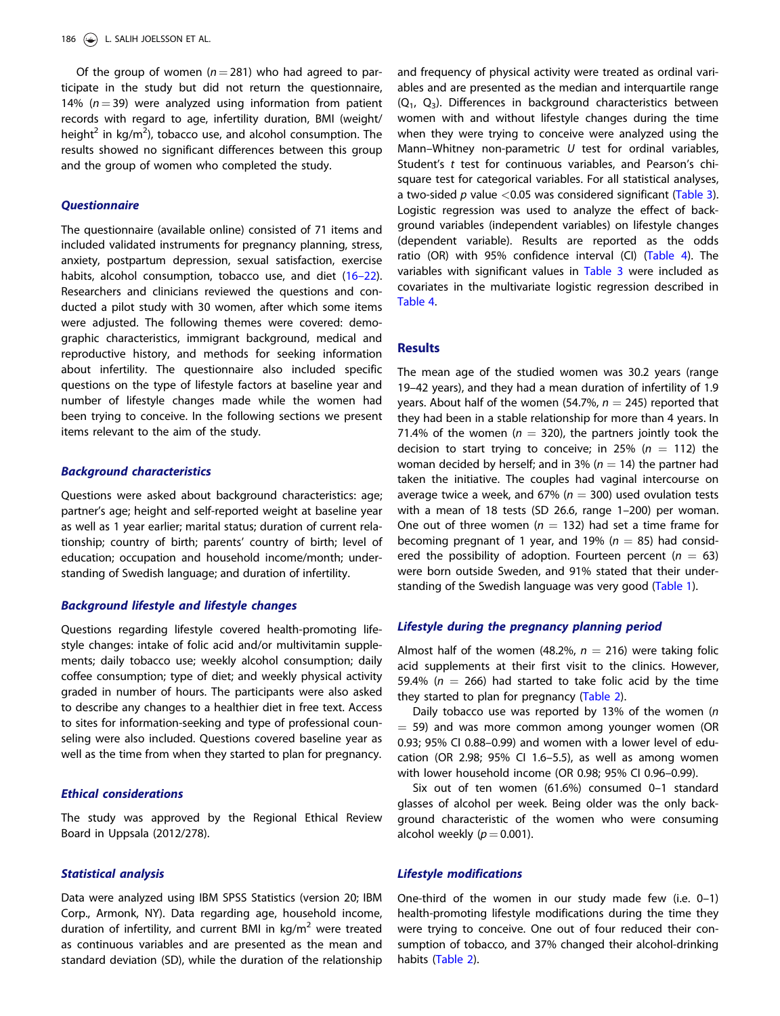Of the group of women ( $n = 281$ ) who had agreed to participate in the study but did not return the questionnaire, 14% ( $n = 39$ ) were analyzed using information from patient records with regard to age, infertility duration, BMI (weight/ height<sup>2</sup> in kg/m<sup>2</sup>), tobacco use, and alcohol consumption. The results showed no significant differences between this group and the group of women who completed the study.

#### **Ouestionnaire**

The questionnaire (available online) consisted of 71 items and included validated instruments for pregnancy planning, stress, anxiety, postpartum depression, sexual satisfaction, exercise habits, alcohol consumption, tobacco use, and diet [\(16–22](#page-6-0)). Researchers and clinicians reviewed the questions and conducted a pilot study with 30 women, after which some items were adjusted. The following themes were covered: demographic characteristics, immigrant background, medical and reproductive history, and methods for seeking information about infertility. The questionnaire also included specific questions on the type of lifestyle factors at baseline year and number of lifestyle changes made while the women had been trying to conceive. In the following sections we present items relevant to the aim of the study.

## Background characteristics

Questions were asked about background characteristics: age; partner's age; height and self-reported weight at baseline year as well as 1 year earlier; marital status; duration of current relationship; country of birth; parents' country of birth; level of education; occupation and household income/month; understanding of Swedish language; and duration of infertility.

### Background lifestyle and lifestyle changes

Questions regarding lifestyle covered health-promoting lifestyle changes: intake of folic acid and/or multivitamin supplements; daily tobacco use; weekly alcohol consumption; daily coffee consumption; type of diet; and weekly physical activity graded in number of hours. The participants were also asked to describe any changes to a healthier diet in free text. Access to sites for information-seeking and type of professional counseling were also included. Questions covered baseline year as well as the time from when they started to plan for pregnancy.

# Ethical considerations

The study was approved by the Regional Ethical Review Board in Uppsala (2012/278).

### Statistical analysis

Data were analyzed using IBM SPSS Statistics (version 20; IBM Corp., Armonk, NY). Data regarding age, household income, duration of infertility, and current BMI in  $kg/m<sup>2</sup>$  were treated as continuous variables and are presented as the mean and standard deviation (SD), while the duration of the relationship and frequency of physical activity were treated as ordinal variables and are presented as the median and interquartile range  $(Q_1, Q_3)$ . Differences in background characteristics between women with and without lifestyle changes during the time when they were trying to conceive were analyzed using the Mann–Whitney non-parametric U test for ordinal variables, Student's t test for continuous variables, and Pearson's chisquare test for categorical variables. For all statistical analyses, a two-sided  $p$  value <0.05 was considered significant [\(Table 3](#page-4-0)). Logistic regression was used to analyze the effect of background variables (independent variables) on lifestyle changes (dependent variable). Results are reported as the odds ratio (OR) with 95% confidence interval (CI) ([Table 4](#page-5-0)). The variables with significant values in [Table 3](#page-4-0) were included as covariates in the multivariate logistic regression described in [Table 4.](#page-5-0)

# **Results**

The mean age of the studied women was 30.2 years (range 19–42 years), and they had a mean duration of infertility of 1.9 years. About half of the women (54.7%,  $n = 245$ ) reported that they had been in a stable relationship for more than 4 years. In 71.4% of the women ( $n = 320$ ), the partners jointly took the decision to start trying to conceive; in 25% ( $n = 112$ ) the woman decided by herself; and in 3% ( $n = 14$ ) the partner had taken the initiative. The couples had vaginal intercourse on average twice a week, and 67% ( $n = 300$ ) used ovulation tests with a mean of 18 tests (SD 26.6, range 1–200) per woman. One out of three women ( $n = 132$ ) had set a time frame for becoming pregnant of 1 year, and 19% ( $n = 85$ ) had considered the possibility of adoption. Fourteen percent ( $n = 63$ ) were born outside Sweden, and 91% stated that their understanding of the Swedish language was very good [\(Table 1\)](#page-3-0).

## Lifestyle during the pregnancy planning period

Almost half of the women (48.2%,  $n = 216$ ) were taking folic acid supplements at their first visit to the clinics. However, 59.4% ( $n = 266$ ) had started to take folic acid by the time they started to plan for pregnancy ([Table 2\)](#page-3-0).

Daily tobacco use was reported by 13% of the women ( $n$  $=$  59) and was more common among younger women (OR 0.93; 95% CI 0.88–0.99) and women with a lower level of education (OR 2.98; 95% CI 1.6–5.5), as well as among women with lower household income (OR 0.98; 95% CI 0.96–0.99).

Six out of ten women (61.6%) consumed 0–1 standard glasses of alcohol per week. Being older was the only background characteristic of the women who were consuming alcohol weekly  $(p = 0.001)$ .

### Lifestyle modifications

One-third of the women in our study made few (i.e. 0–1) health-promoting lifestyle modifications during the time they were trying to conceive. One out of four reduced their consumption of tobacco, and 37% changed their alcohol-drinking habits ([Table 2\)](#page-3-0).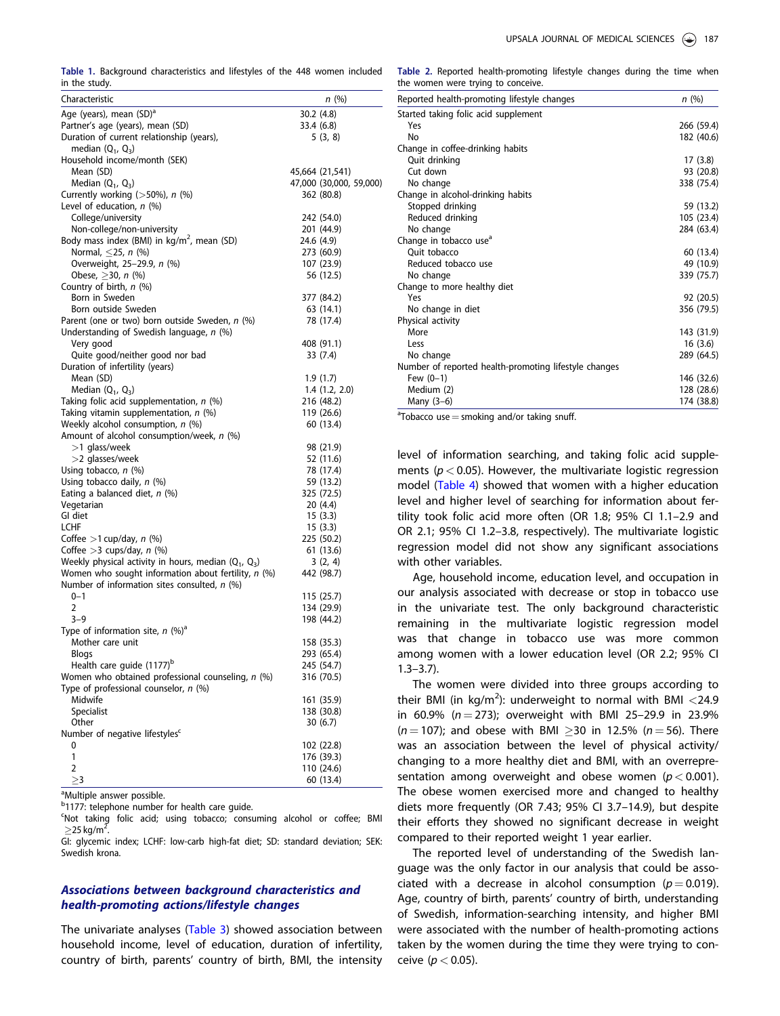<span id="page-3-0"></span>Table 1. Background characteristics and lifestyles of the 448 women included in the study.

| <b>.</b> <i>.</i> ,.                                             |                         |
|------------------------------------------------------------------|-------------------------|
| Characteristic                                                   | n(%)                    |
| Age (years), mean (SD) <sup>a</sup>                              | 30.2 (4.8)              |
| Partner's age (years), mean (SD)                                 | 33.4 (6.8)              |
| Duration of current relationship (years),<br>median $(Q_1, Q_3)$ | 5 (3, 8)                |
| Household income/month (SEK)                                     |                         |
| Mean (SD)                                                        | 45,664 (21,541)         |
| Median $(Q_1, Q_3)$                                              | 47,000 (30,000, 59,000) |
| Currently working (>50%), n (%)                                  | 362 (80.8)              |
| Level of education, n (%)                                        |                         |
| College/university                                               | 242 (54.0)              |
| Non-college/non-university                                       | 201 (44.9)              |
| Body mass index (BMI) in kg/m <sup>2</sup> , mean (SD)           | 24.6 (4.9)              |
| Normal, $\leq$ 25, n (%)                                         | 273 (60.9)              |
| Overweight, 25-29.9, n (%)                                       | 107 (23.9)              |
| Obese, $\geq$ 30, <i>n</i> (%)                                   | 56 (12.5)               |
| Country of birth, n (%)<br>Born in Sweden                        |                         |
| Born outside Sweden                                              | 377 (84.2)<br>63 (14.1) |
| Parent (one or two) born outside Sweden, n (%)                   | 78 (17.4)               |
| Understanding of Swedish language, n (%)                         |                         |
| Very good                                                        | 408 (91.1)              |
| Quite good/neither good nor bad                                  | 33 (7.4)                |
| Duration of infertility (years)                                  |                         |
| Mean (SD)                                                        | 1.9(1.7)                |
| Median $(Q_1, Q_3)$                                              | $1.4$ $(1.2, 2.0)$      |
| Taking folic acid supplementation, n (%)                         | 216 (48.2)              |
| Taking vitamin supplementation, n (%)                            | 119 (26.6)              |
| Weekly alcohol consumption, n (%)                                | 60 (13.4)               |
| Amount of alcohol consumption/week, n (%)                        |                         |
| >1 glass/week                                                    | 98 (21.9)               |
| >2 glasses/week                                                  | 52 (11.6)               |
| Using tobacco, $n$ (%)                                           | 78 (17.4)               |
| Using tobacco daily, n (%)                                       | 59 (13.2)               |
| Eating a balanced diet, n (%)                                    | 325 (72.5)              |
| Vegetarian                                                       | 20 (4.4)                |
| GI diet                                                          | 15(3.3)                 |
| LCHF                                                             | 15(3.3)                 |
| Coffee $>1$ cup/day, n (%)<br>Coffee $>3$ cups/day, n (%)        | 225 (50.2)<br>61 (13.6) |
| Weekly physical activity in hours, median $(Q_1, Q_3)$           | 3(2, 4)                 |
| Women who sought information about fertility, n (%)              | 442 (98.7)              |
| Number of information sites consulted, $n$ (%)                   |                         |
| $0 - 1$                                                          | 115 (25.7)              |
| 2                                                                | 134 (29.9)              |
| 3–9                                                              | 198 (44.2)              |
| Type of information site, $n$ (%) <sup>a</sup>                   |                         |
| Mother care unit                                                 | 158 (35.3)              |
| Blogs                                                            | 293 (65.4)              |
| Health care guide (1177) <sup>b</sup>                            | 245 (54.7)              |
| Women who obtained professional counseling, n (%)                | 316 (70.5)              |
| Type of professional counselor, $n$ (%)                          |                         |
| Midwife                                                          | 161 (35.9)              |
| Specialist                                                       | 138 (30.8)              |
| Other                                                            | 30 (6.7)                |
| Number of negative lifestyles <sup>c</sup>                       |                         |
| 0                                                                | 102 (22.8)              |
| 1                                                                | 176 (39.3)              |
| $\overline{2}$                                                   | 110 (24.6)              |
| $\geq$ 3                                                         | 60 (13.4)               |

<sup>a</sup>Multiple answer possible.

<sup>b</sup>1177: telephone number for health care guide.

'Not taking folic acid; using tobacco; consuming alcohol or coffee; BMI  $\geq$ 25 kg/m $^2$ .

GI: glycemic index; LCHF: low-carb high-fat diet; SD: standard deviation; SEK: Swedish krona.

# Associations between background characteristics and health-promoting actions/lifestyle changes

The univariate analyses [\(Table 3\)](#page-4-0) showed association between household income, level of education, duration of infertility, country of birth, parents' country of birth, BMI, the intensity

Table 2. Reported health-promoting lifestyle changes during the time when the women were trying to conceive.

| Reported health-promoting lifestyle changes           | n(%)       |
|-------------------------------------------------------|------------|
| Started taking folic acid supplement                  |            |
| Yes                                                   | 266 (59.4) |
| No                                                    | 182 (40.6) |
| Change in coffee-drinking habits                      |            |
| Quit drinking                                         | 17 (3.8)   |
| Cut down                                              | 93 (20.8)  |
| No change                                             | 338 (75.4) |
| Change in alcohol-drinking habits                     |            |
| Stopped drinking                                      | 59 (13.2)  |
| Reduced drinking                                      | 105 (23.4) |
| No change                                             | 284 (63.4) |
| Change in tobacco use <sup>a</sup>                    |            |
| Ouit tobacco                                          | 60 (13.4)  |
| Reduced tobacco use                                   | 49 (10.9)  |
| No change                                             | 339 (75.7) |
| Change to more healthy diet                           |            |
| Yes                                                   | 92 (20.5)  |
| No change in diet                                     | 356 (79.5) |
| Physical activity                                     |            |
| More                                                  | 143 (31.9) |
| Less                                                  | 16(3.6)    |
| No change                                             | 289 (64.5) |
| Number of reported health-promoting lifestyle changes |            |
| Few $(0-1)$                                           | 146 (32.6) |
| Medium (2)                                            | 128 (28.6) |
| Many $(3-6)$                                          | 174 (38.8) |

 $\textsuperscript{a}$ Tobacco use = smoking and/or taking snuff.

level of information searching, and taking folic acid supplements ( $p < 0.05$ ). However, the multivariate logistic regression model ([Table 4\)](#page-5-0) showed that women with a higher education level and higher level of searching for information about fertility took folic acid more often (OR 1.8; 95% CI 1.1–2.9 and OR 2.1; 95% CI 1.2–3.8, respectively). The multivariate logistic regression model did not show any significant associations with other variables.

Age, household income, education level, and occupation in our analysis associated with decrease or stop in tobacco use in the univariate test. The only background characteristic remaining in the multivariate logistic regression model was that change in tobacco use was more common among women with a lower education level (OR 2.2; 95% CI 1.3–3.7).

The women were divided into three groups according to their BMI (in kg/m<sup>2</sup>): underweight to normal with BMI <24.9 in 60.9% ( $n = 273$ ); overweight with BMI 25-29.9 in 23.9%  $(n = 107)$ ; and obese with BMI  $\geq$ 30 in 12.5% ( $n = 56$ ). There was an association between the level of physical activity/ changing to a more healthy diet and BMI, with an overrepresentation among overweight and obese women ( $p < 0.001$ ). The obese women exercised more and changed to healthy diets more frequently (OR 7.43; 95% CI 3.7–14.9), but despite their efforts they showed no significant decrease in weight compared to their reported weight 1 year earlier.

The reported level of understanding of the Swedish language was the only factor in our analysis that could be associated with a decrease in alcohol consumption ( $p = 0.019$ ). Age, country of birth, parents' country of birth, understanding of Swedish, information-searching intensity, and higher BMI were associated with the number of health-promoting actions taken by the women during the time they were trying to conceive ( $p < 0.05$ ).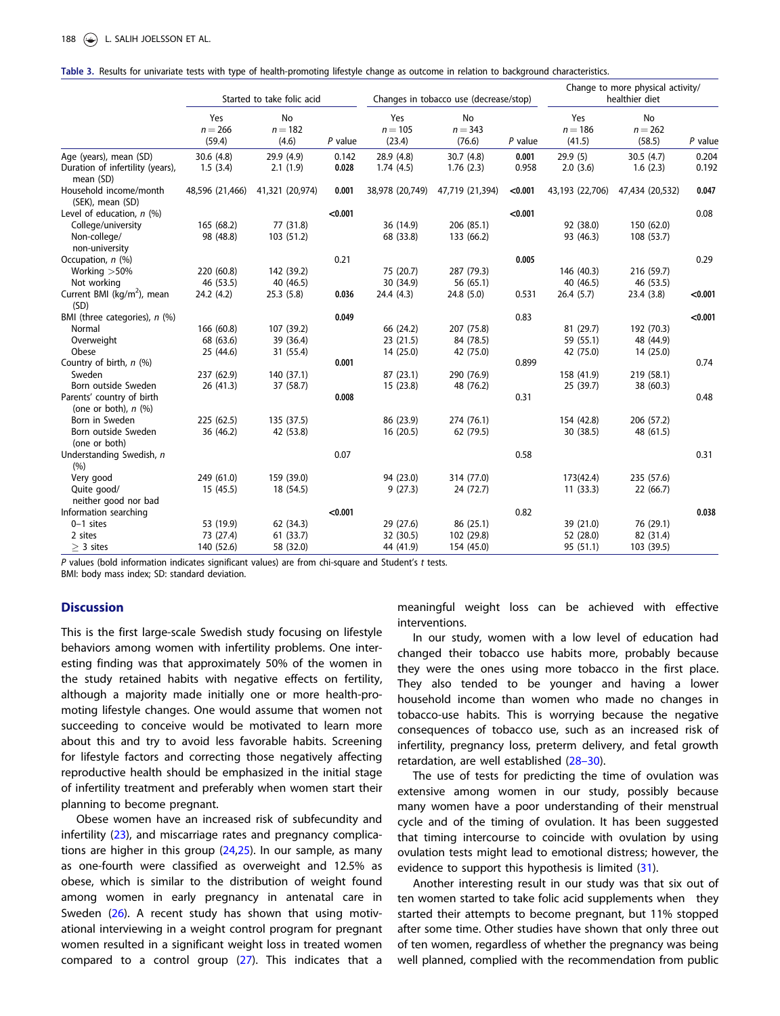<span id="page-4-0"></span>

|  |  |  |  |  | Table 3. Results for univariate tests with type of health-promoting lifestyle change as outcome in relation to background characteristics. |  |  |  |  |  |
|--|--|--|--|--|--------------------------------------------------------------------------------------------------------------------------------------------|--|--|--|--|--|
|--|--|--|--|--|--------------------------------------------------------------------------------------------------------------------------------------------|--|--|--|--|--|

|                                                     |                            | Started to take folic acid |           |                            | Changes in tobacco use (decrease/stop) |           | Change to more physical activity/<br>healthier diet |                           |           |
|-----------------------------------------------------|----------------------------|----------------------------|-----------|----------------------------|----------------------------------------|-----------|-----------------------------------------------------|---------------------------|-----------|
|                                                     | Yes<br>$n = 266$<br>(59.4) | No<br>$n = 182$<br>(4.6)   | $P$ value | Yes<br>$n = 105$<br>(23.4) | No<br>$n = 343$<br>(76.6)              | $P$ value | Yes<br>$n = 186$<br>(41.5)                          | No<br>$n = 262$<br>(58.5) | $P$ value |
| Age (years), mean (SD)                              | 30.6(4.8)                  | 29.9 (4.9)                 | 0.142     | 28.9 (4.8)                 | 30.7(4.8)                              | 0.001     | 29.9(5)                                             | 30.5(4.7)                 | 0.204     |
| Duration of infertility (years),<br>mean (SD)       | 1.5(3.4)                   | 2.1(1.9)                   | 0.028     | 1.74(4.5)                  | 1.76(2.3)                              | 0.958     | 2.0(3.6)                                            | 1.6(2.3)                  | 0.192     |
| Household income/month<br>(SEK), mean (SD)          | 48,596 (21,466)            | 41,321 (20,974)            | 0.001     | 38,978 (20,749)            | 47,719 (21,394)                        | < 0.001   | 43,193 (22,706)                                     | 47,434 (20,532)           | 0.047     |
| Level of education, $n$ (%)                         |                            |                            | < 0.001   |                            |                                        | < 0.001   |                                                     |                           | 0.08      |
| College/university                                  | 165 (68.2)                 | 77 (31.8)                  |           | 36 (14.9)                  | 206 (85.1)                             |           | 92 (38.0)                                           | 150 (62.0)                |           |
| Non-college/<br>non-university                      | 98 (48.8)                  | 103 (51.2)                 |           | 68 (33.8)                  | 133 (66.2)                             |           | 93 (46.3)                                           | 108 (53.7)                |           |
| Occupation, n (%)                                   |                            |                            | 0.21      |                            |                                        | 0.005     |                                                     |                           | 0.29      |
| Working $>50\%$                                     | 220 (60.8)                 | 142 (39.2)                 |           | 75 (20.7)                  | 287 (79.3)                             |           | 146 (40.3)                                          | 216 (59.7)                |           |
| Not working                                         | 46 (53.5)                  | 40 (46.5)                  |           | 30 (34.9)                  | 56 (65.1)                              |           | 40 (46.5)                                           | 46 (53.5)                 |           |
| Current BMI (kg/m <sup>2</sup> ), mean<br>(SD)      | 24.2 (4.2)                 | 25.3(5.8)                  | 0.036     | 24.4(4.3)                  | 24.8(5.0)                              | 0.531     | 26.4(5.7)                                           | 23.4(3.8)                 | < 0.001   |
| BMI (three categories), n (%)                       |                            |                            | 0.049     |                            |                                        | 0.83      |                                                     |                           | < 0.001   |
| Normal                                              | 166 (60.8)                 | 107 (39.2)                 |           | 66 (24.2)                  | 207 (75.8)                             |           | 81 (29.7)                                           | 192 (70.3)                |           |
| Overweight                                          | 68 (63.6)                  | 39 (36.4)                  |           | 23 (21.5)                  | 84 (78.5)                              |           | 59 (55.1)                                           | 48 (44.9)                 |           |
| Obese                                               | 25 (44.6)                  | 31 (55.4)                  |           | 14 (25.0)                  | 42 (75.0)                              |           | 42 (75.0)                                           | 14 (25.0)                 |           |
| Country of birth, n (%)                             |                            |                            | 0.001     |                            |                                        | 0.899     |                                                     |                           | 0.74      |
| Sweden                                              | 237 (62.9)                 | 140 (37.1)                 |           | 87 (23.1)                  | 290 (76.9)                             |           | 158 (41.9)                                          | 219 (58.1)                |           |
| Born outside Sweden                                 | 26 (41.3)                  | 37 (58.7)                  |           | 15(23.8)                   | 48 (76.2)                              |           | 25 (39.7)                                           | 38 (60.3)                 |           |
| Parents' country of birth<br>(one or both), $n$ (%) |                            |                            | 0.008     |                            |                                        | 0.31      |                                                     |                           | 0.48      |
| Born in Sweden                                      | 225 (62.5)                 | 135 (37.5)                 |           | 86 (23.9)                  | 274 (76.1)                             |           | 154 (42.8)                                          | 206 (57.2)                |           |
| Born outside Sweden<br>(one or both)                | 36 (46.2)                  | 42 (53.8)                  |           | 16(20.5)                   | 62 (79.5)                              |           | 30 (38.5)                                           | 48 (61.5)                 |           |
| Understanding Swedish, n<br>(%)                     |                            |                            | 0.07      |                            |                                        | 0.58      |                                                     |                           | 0.31      |
| Very good                                           | 249 (61.0)                 | 159 (39.0)                 |           | 94 (23.0)                  | 314 (77.0)                             |           | 173(42.4)                                           | 235 (57.6)                |           |
| Quite good/                                         | 15(45.5)                   | 18 (54.5)                  |           | 9(27.3)                    | 24 (72.7)                              |           | 11(33.3)                                            | 22(66.7)                  |           |
| neither good nor bad                                |                            |                            |           |                            |                                        |           |                                                     |                           |           |
| Information searching                               |                            |                            | < 0.001   |                            |                                        | 0.82      |                                                     |                           | 0.038     |
| $0-1$ sites                                         | 53 (19.9)                  | 62 (34.3)                  |           | 29 (27.6)                  | 86 (25.1)                              |           | 39 (21.0)                                           | 76 (29.1)                 |           |
| 2 sites                                             | 73 (27.4)                  | 61 (33.7)                  |           | 32 (30.5)                  | 102 (29.8)                             |           | 52 (28.0)                                           | 82 (31.4)                 |           |
| $> 3$ sites                                         | 140 (52.6)                 | 58 (32.0)                  |           | 44 (41.9)                  | 154 (45.0)                             |           | 95 (51.1)                                           | 103 (39.5)                |           |
|                                                     |                            |                            |           |                            |                                        |           |                                                     |                           |           |

P values (bold information indicates significant values) are from chi-square and Student's t tests.

BMI: body mass index; SD: standard deviation.

# **Discussion**

This is the first large-scale Swedish study focusing on lifestyle behaviors among women with infertility problems. One interesting finding was that approximately 50% of the women in the study retained habits with negative effects on fertility, although a majority made initially one or more health-promoting lifestyle changes. One would assume that women not succeeding to conceive would be motivated to learn more about this and try to avoid less favorable habits. Screening for lifestyle factors and correcting those negatively affecting reproductive health should be emphasized in the initial stage of infertility treatment and preferably when women start their planning to become pregnant.

Obese women have an increased risk of subfecundity and infertility ([23\)](#page-6-0), and miscarriage rates and pregnancy complications are higher in this group  $(24,25)$  $(24,25)$ . In our sample, as many as one-fourth were classified as overweight and 12.5% as obese, which is similar to the distribution of weight found among women in early pregnancy in antenatal care in Sweden [\(26\)](#page-6-0). A recent study has shown that using motivational interviewing in a weight control program for pregnant women resulted in a significant weight loss in treated women compared to a control group [\(27](#page-6-0)). This indicates that a meaningful weight loss can be achieved with effective interventions.

In our study, women with a low level of education had changed their tobacco use habits more, probably because they were the ones using more tobacco in the first place. They also tended to be younger and having a lower household income than women who made no changes in tobacco-use habits. This is worrying because the negative consequences of tobacco use, such as an increased risk of infertility, pregnancy loss, preterm delivery, and fetal growth retardation, are well established ([28–30\)](#page-6-0).

The use of tests for predicting the time of ovulation was extensive among women in our study, possibly because many women have a poor understanding of their menstrual cycle and of the timing of ovulation. It has been suggested that timing intercourse to coincide with ovulation by using ovulation tests might lead to emotional distress; however, the evidence to support this hypothesis is limited  $(31)$  $(31)$ .

Another interesting result in our study was that six out of ten women started to take folic acid supplements when they started their attempts to become pregnant, but 11% stopped after some time. Other studies have shown that only three out of ten women, regardless of whether the pregnancy was being well planned, complied with the recommendation from public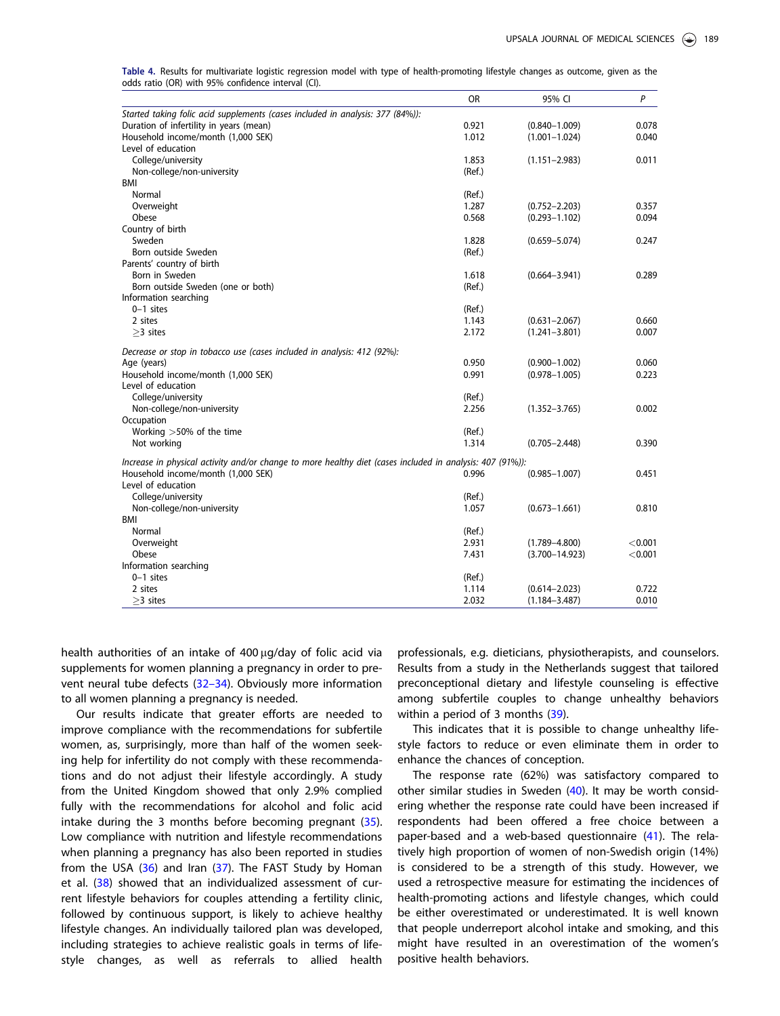|                                                                                                           | <b>OR</b> | 95% CI             | $\mathsf{P}$ |
|-----------------------------------------------------------------------------------------------------------|-----------|--------------------|--------------|
| Started taking folic acid supplements (cases included in analysis: 377 (84%)):                            |           |                    |              |
| Duration of infertility in years (mean)                                                                   | 0.921     | $(0.840 - 1.009)$  | 0.078        |
| Household income/month (1,000 SEK)                                                                        | 1.012     | $(1.001 - 1.024)$  | 0.040        |
| Level of education                                                                                        |           |                    |              |
| College/university                                                                                        | 1.853     | $(1.151 - 2.983)$  | 0.011        |
| Non-college/non-university                                                                                | (Ref.)    |                    |              |
| <b>BMI</b>                                                                                                |           |                    |              |
| Normal                                                                                                    | (Ref.)    |                    |              |
| Overweight                                                                                                | 1.287     | $(0.752 - 2.203)$  | 0.357        |
| Obese                                                                                                     | 0.568     | $(0.293 - 1.102)$  | 0.094        |
| Country of birth                                                                                          |           |                    |              |
| Sweden                                                                                                    | 1.828     | $(0.659 - 5.074)$  | 0.247        |
| Born outside Sweden                                                                                       | (Ref.)    |                    |              |
| Parents' country of birth                                                                                 |           |                    |              |
| Born in Sweden                                                                                            | 1.618     | $(0.664 - 3.941)$  | 0.289        |
| Born outside Sweden (one or both)                                                                         | (Ref.)    |                    |              |
| Information searching                                                                                     |           |                    |              |
| $0-1$ sites                                                                                               | (Ref.)    |                    |              |
| 2 sites                                                                                                   | 1.143     | $(0.631 - 2.067)$  | 0.660        |
| $>3$ sites                                                                                                | 2.172     | $(1.241 - 3.801)$  | 0.007        |
| Decrease or stop in tobacco use (cases included in analysis: 412 (92%):                                   |           |                    |              |
| Age (years)                                                                                               | 0.950     | $(0.900 - 1.002)$  | 0.060        |
| Household income/month (1,000 SEK)                                                                        | 0.991     | $(0.978 - 1.005)$  | 0.223        |
| Level of education                                                                                        |           |                    |              |
| College/university                                                                                        | (Ref.)    |                    |              |
| Non-college/non-university                                                                                | 2.256     | $(1.352 - 3.765)$  | 0.002        |
| Occupation                                                                                                |           |                    |              |
| Working $>50\%$ of the time                                                                               | (Ref.)    |                    |              |
| Not working                                                                                               | 1.314     | $(0.705 - 2.448)$  | 0.390        |
| Increase in physical activity and/or change to more healthy diet (cases included in analysis: 407 (91%)): |           |                    |              |
| Household income/month (1,000 SEK)                                                                        | 0.996     | $(0.985 - 1.007)$  | 0.451        |
| Level of education                                                                                        |           |                    |              |
| College/university                                                                                        | (Ref.)    |                    |              |
| Non-college/non-university                                                                                | 1.057     | $(0.673 - 1.661)$  | 0.810        |
| <b>BMI</b>                                                                                                |           |                    |              |
| Normal                                                                                                    | (Ref.)    |                    |              |
| Overweight                                                                                                | 2.931     | $(1.789 - 4.800)$  | < 0.001      |
| Obese                                                                                                     | 7.431     | $(3.700 - 14.923)$ | < 0.001      |
| Information searching                                                                                     |           |                    |              |
| $0-1$ sites                                                                                               | (Ref.)    |                    |              |
| 2 sites                                                                                                   | 1.114     | $(0.614 - 2.023)$  | 0.722        |
| $>$ 3 sites                                                                                               | 2.032     | $(1.184 - 3.487)$  | 0.010        |

<span id="page-5-0"></span>Table 4. Results for multivariate logistic regression model with type of health-promoting lifestyle changes as outcome, given as the odds ratio (OR) with 95% confidence interval (CI).

health authorities of an intake of  $400 \mu g/day$  of folic acid via supplements for women planning a pregnancy in order to prevent neural tube defects ([32–34\)](#page-6-0). Obviously more information to all women planning a pregnancy is needed.

Our results indicate that greater efforts are needed to improve compliance with the recommendations for subfertile women, as, surprisingly, more than half of the women seeking help for infertility do not comply with these recommendations and do not adjust their lifestyle accordingly. A study from the United Kingdom showed that only 2.9% complied fully with the recommendations for alcohol and folic acid intake during the 3 months before becoming pregnant  $(35)$  $(35)$  $(35)$ . Low compliance with nutrition and lifestyle recommendations when planning a pregnancy has also been reported in studies from the USA [\(36\)](#page-7-0) and Iran ([37](#page-7-0)). The FAST Study by Homan et al. ([38](#page-7-0)) showed that an individualized assessment of current lifestyle behaviors for couples attending a fertility clinic, followed by continuous support, is likely to achieve healthy lifestyle changes. An individually tailored plan was developed, including strategies to achieve realistic goals in terms of lifestyle changes, as well as referrals to allied health professionals, e.g. dieticians, physiotherapists, and counselors. Results from a study in the Netherlands suggest that tailored preconceptional dietary and lifestyle counseling is effective among subfertile couples to change unhealthy behaviors within a period of 3 months [\(39\)](#page-7-0).

This indicates that it is possible to change unhealthy lifestyle factors to reduce or even eliminate them in order to enhance the chances of conception.

The response rate (62%) was satisfactory compared to other similar studies in Sweden [\(40\)](#page-7-0). It may be worth considering whether the response rate could have been increased if respondents had been offered a free choice between a paper-based and a web-based questionnaire [\(41](#page-7-0)). The relatively high proportion of women of non-Swedish origin (14%) is considered to be a strength of this study. However, we used a retrospective measure for estimating the incidences of health-promoting actions and lifestyle changes, which could be either overestimated or underestimated. It is well known that people underreport alcohol intake and smoking, and this might have resulted in an overestimation of the women's positive health behaviors.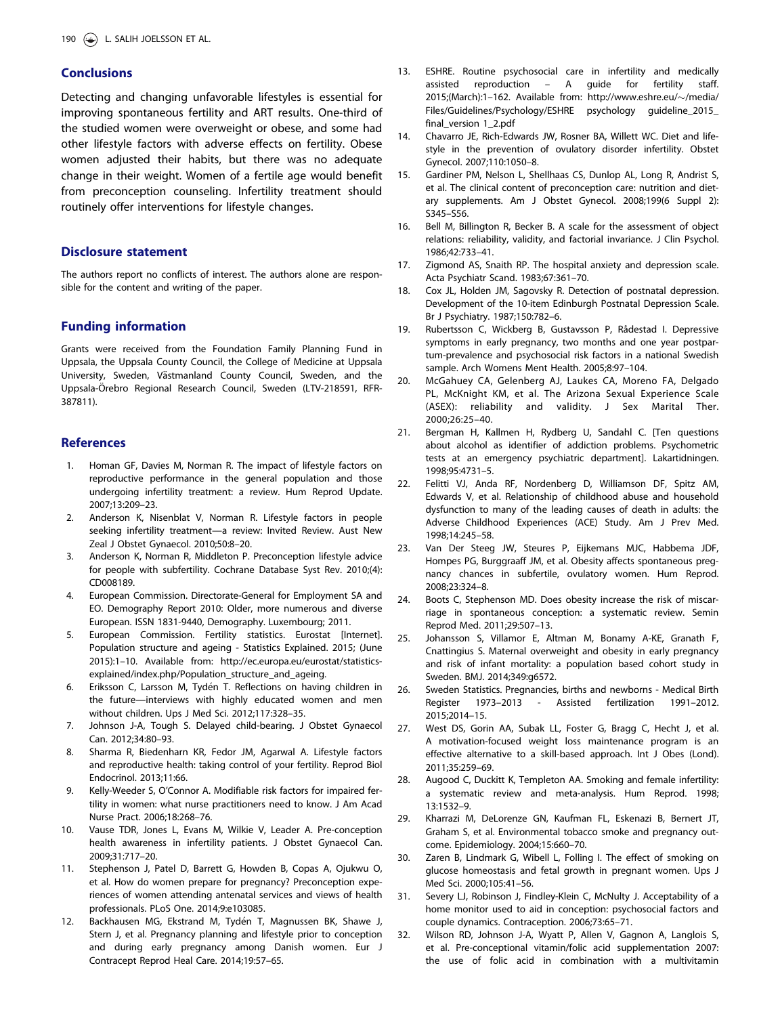# <span id="page-6-0"></span>**Conclusions**

Detecting and changing unfavorable lifestyles is essential for improving spontaneous fertility and ART results. One-third of the studied women were overweight or obese, and some had other lifestyle factors with adverse effects on fertility. Obese women adjusted their habits, but there was no adequate change in their weight. Women of a fertile age would benefit from preconception counseling. Infertility treatment should routinely offer interventions for lifestyle changes.

# Disclosure statement

The authors report no conflicts of interest. The authors alone are responsible for the content and writing of the paper.

### Funding information

Grants were received from the Foundation Family Planning Fund in Uppsala, the Uppsala County Council, the College of Medicine at Uppsala University, Sweden, Västmanland County Council, Sweden, and the Uppsala-Örebro Regional Research Council, Sweden (LTV-218591, RFR-387811).

### **References**

- 1. Homan GF, Davies M, Norman R. The impact of lifestyle factors on reproductive performance in the general population and those undergoing infertility treatment: a review. Hum Reprod Update. 2007;13:209–23.
- 2. Anderson K, Nisenblat V, Norman R. Lifestyle factors in people seeking infertility treatment—a review: Invited Review. Aust New Zeal J Obstet Gynaecol. 2010;50:8–20.
- 3. Anderson K, Norman R, Middleton P. Preconception lifestyle advice for people with subfertility. Cochrane Database Syst Rev. 2010;(4): CD008189.
- 4. European Commission. Directorate-General for Employment SA and EO. Demography Report 2010: Older, more numerous and diverse European. ISSN 1831-9440, Demography. Luxembourg; 2011.
- 5. European Commission. Fertility statistics. Eurostat [Internet]. Population structure and ageing - Statistics Explained. 2015; (June 2015):1–10. Available from: [http://ec.europa.eu/eurostat/statistics](http://ec.europa.eu/eurostat/statistics-explained/index.php/Population_structure_and_ageing)[explained/index.php/Population\\_structure\\_and\\_ageing](http://ec.europa.eu/eurostat/statistics-explained/index.php/Population_structure_and_ageing).
- 6. Eriksson C, Larsson M, Tydén T. Reflections on having children in the future—interviews with highly educated women and men without children. Ups J Med Sci. 2012;117:328–35.
- 7. Johnson J-A, Tough S. Delayed child-bearing. J Obstet Gynaecol Can. 2012;34:80–93.
- 8. Sharma R, Biedenharn KR, Fedor JM, Agarwal A. Lifestyle factors and reproductive health: taking control of your fertility. Reprod Biol Endocrinol. 2013;11:66.
- 9. Kelly-Weeder S, O'Connor A. Modifiable risk factors for impaired fertility in women: what nurse practitioners need to know. J Am Acad Nurse Pract. 2006;18:268–76.
- 10. Vause TDR, Jones L, Evans M, Wilkie V, Leader A. Pre-conception health awareness in infertility patients. J Obstet Gynaecol Can. 2009;31:717–20.
- 11. Stephenson J, Patel D, Barrett G, Howden B, Copas A, Ojukwu O, et al. How do women prepare for pregnancy? Preconception experiences of women attending antenatal services and views of health professionals. PLoS One. 2014;9:e103085.
- 12. Backhausen MG, Ekstrand M, Tydén T, Magnussen BK, Shawe J, Stern J, et al. Pregnancy planning and lifestyle prior to conception and during early pregnancy among Danish women. Eur J Contracept Reprod Heal Care. 2014;19:57–65.
- 13. ESHRE. Routine psychosocial care in infertility and medically assisted reproduction – A guide for fertility staff. 2015;(March):1-162. Available from: [http://www.eshre.eu/](http://www.eshre.eu/∼/media/Files/Guidelines/Psychology/ESHRE psychology guideline_2015_final_version 1_2.pdf)~[/media/](http://www.eshre.eu/∼/media/Files/Guidelines/Psychology/ESHRE psychology guideline_2015_final_version 1_2.pdf) [Files/Guidelines/Psychology/ESHRE psychology guideline\\_2015\\_](http://www.eshre.eu/∼/media/Files/Guidelines/Psychology/ESHRE psychology guideline_2015_final_version 1_2.pdf) [final\\_version 1\\_2.pdf](http://www.eshre.eu/∼/media/Files/Guidelines/Psychology/ESHRE psychology guideline_2015_final_version 1_2.pdf)
- 14. Chavarro JE, Rich-Edwards JW, Rosner BA, Willett WC. Diet and lifestyle in the prevention of ovulatory disorder infertility. Obstet Gynecol. 2007;110:1050–8.
- 15. Gardiner PM, Nelson L, Shellhaas CS, Dunlop AL, Long R, Andrist S, et al. The clinical content of preconception care: nutrition and dietary supplements. Am J Obstet Gynecol. 2008;199(6 Suppl 2): S345–S56.
- 16. Bell M, Billington R, Becker B. A scale for the assessment of object relations: reliability, validity, and factorial invariance. J Clin Psychol. 1986;42:733–41.
- 17. Zigmond AS, Snaith RP. The hospital anxiety and depression scale. Acta Psychiatr Scand. 1983;67:361–70.
- 18. Cox JL, Holden JM, Sagovsky R. Detection of postnatal depression. Development of the 10-item Edinburgh Postnatal Depression Scale. Br J Psychiatry. 1987;150:782–6.
- 19. Rubertsson C, Wickberg B, Gustavsson P, Rådestad I. Depressive symptoms in early pregnancy, two months and one year postpartum-prevalence and psychosocial risk factors in a national Swedish sample. Arch Womens Ment Health. 2005;8:97–104.
- 20. McGahuey CA, Gelenberg AJ, Laukes CA, Moreno FA, Delgado PL, McKnight KM, et al. The Arizona Sexual Experience Scale (ASEX): reliability and validity. J Sex Marital Ther. 2000;26:25–40.
- 21. Bergman H, Kallmen H, Rydberg U, Sandahl C. [Ten questions about alcohol as identifier of addiction problems. Psychometric tests at an emergency psychiatric department]. Lakartidningen. 1998;95:4731–5.
- 22. Felitti VJ, Anda RF, Nordenberg D, Williamson DF, Spitz AM, Edwards V, et al. Relationship of childhood abuse and household dysfunction to many of the leading causes of death in adults: the Adverse Childhood Experiences (ACE) Study. Am J Prev Med. 1998;14:245–58.
- 23. Van Der Steeg JW, Steures P, Eijkemans MJC, Habbema JDF, Hompes PG, Burggraaff JM, et al. Obesity affects spontaneous pregnancy chances in subfertile, ovulatory women. Hum Reprod. 2008;23:324–8.
- 24. Boots C, Stephenson MD. Does obesity increase the risk of miscarriage in spontaneous conception: a systematic review. Semin Reprod Med. 2011;29:507–13.
- 25. Johansson S, Villamor E, Altman M, Bonamy A-KE, Granath F, Cnattingius S. Maternal overweight and obesity in early pregnancy and risk of infant mortality: a population based cohort study in Sweden. BMJ. 2014;349:g6572.
- 26. Sweden Statistics. Pregnancies, births and newborns Medical Birth Register 1973–2013 - Assisted fertilization 1991–2012. 2015;2014–15.
- 27. West DS, Gorin AA, Subak LL, Foster G, Bragg C, Hecht J, et al. A motivation-focused weight loss maintenance program is an effective alternative to a skill-based approach. Int J Obes (Lond). 2011;35:259–69.
- 28. Augood C, Duckitt K, Templeton AA. Smoking and female infertility: a systematic review and meta-analysis. Hum Reprod. 1998; 13:1532–9.
- 29. Kharrazi M, DeLorenze GN, Kaufman FL, Eskenazi B, Bernert JT, Graham S, et al. Environmental tobacco smoke and pregnancy outcome. Epidemiology. 2004;15:660–70.
- 30. Zaren B, Lindmark G, Wibell L, Folling I. The effect of smoking on glucose homeostasis and fetal growth in pregnant women. Ups J Med Sci. 2000;105:41–56.
- 31. Severy LJ, Robinson J, Findley-Klein C, McNulty J. Acceptability of a home monitor used to aid in conception: psychosocial factors and couple dynamics. Contraception. 2006;73:65–71.
- 32. Wilson RD, Johnson J-A, Wyatt P, Allen V, Gagnon A, Langlois S, et al. Pre-conceptional vitamin/folic acid supplementation 2007: the use of folic acid in combination with a multivitamin